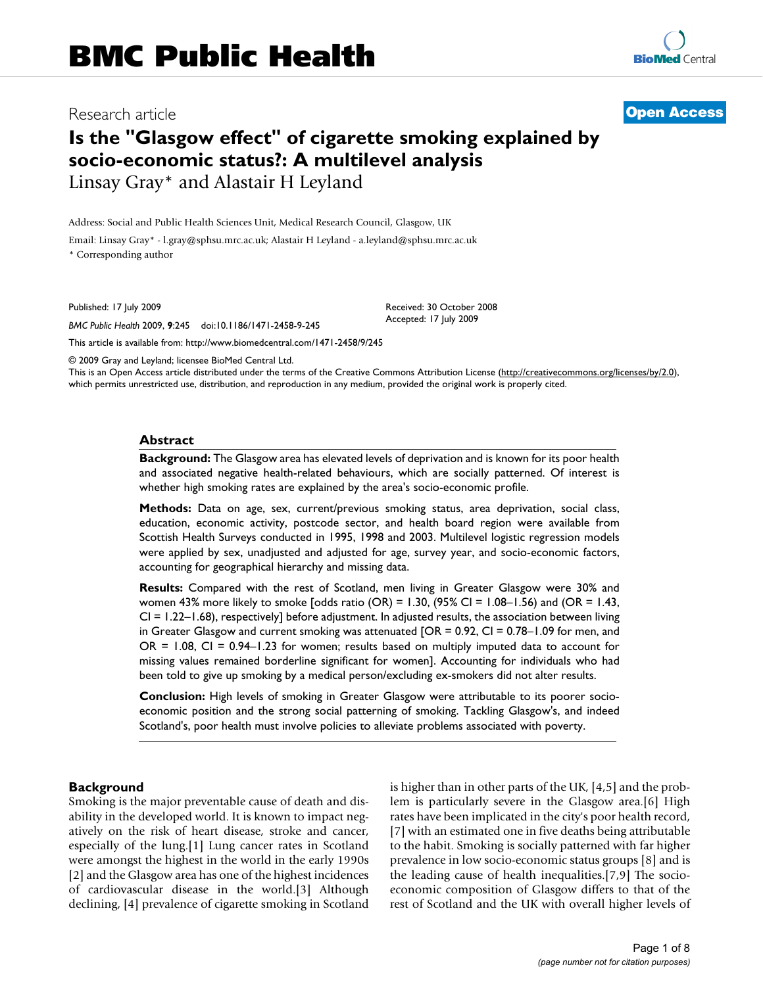## Research article **[Open Access](http://www.biomedcentral.com/info/about/charter/)**

# **Is the "Glasgow effect" of cigarette smoking explained by socio-economic status?: A multilevel analysis**

Received: 30 October 2008 Accepted: 17 July 2009

Linsay Gray\* and Alastair H Leyland

Address: Social and Public Health Sciences Unit, Medical Research Council, Glasgow, UK

Email: Linsay Gray\* - l.gray@sphsu.mrc.ac.uk; Alastair H Leyland - a.leyland@sphsu.mrc.ac.uk \* Corresponding author

Published: 17 July 2009

*BMC Public Health* 2009, **9**:245 doi:10.1186/1471-2458-9-245

[This article is available from: http://www.biomedcentral.com/1471-2458/9/245](http://www.biomedcentral.com/1471-2458/9/245)

© 2009 Gray and Leyland; licensee BioMed Central Ltd.

This is an Open Access article distributed under the terms of the Creative Commons Attribution License [\(http://creativecommons.org/licenses/by/2.0\)](http://creativecommons.org/licenses/by/2.0), which permits unrestricted use, distribution, and reproduction in any medium, provided the original work is properly cited.

#### **Abstract**

**Background:** The Glasgow area has elevated levels of deprivation and is known for its poor health and associated negative health-related behaviours, which are socially patterned. Of interest is whether high smoking rates are explained by the area's socio-economic profile.

**Methods:** Data on age, sex, current/previous smoking status, area deprivation, social class, education, economic activity, postcode sector, and health board region were available from Scottish Health Surveys conducted in 1995, 1998 and 2003. Multilevel logistic regression models were applied by sex, unadjusted and adjusted for age, survey year, and socio-economic factors, accounting for geographical hierarchy and missing data.

**Results:** Compared with the rest of Scotland, men living in Greater Glasgow were 30% and women 43% more likely to smoke [odds ratio (OR) = 1.30, (95% CI = 1.08–1.56) and (OR = 1.43,  $CI = 1.22-1.68$ , respectively] before adjustment. In adjusted results, the association between living in Greater Glasgow and current smoking was attenuated [OR = 0.92, CI = 0.78–1.09 for men, and  $OR = 1.08$ ,  $CI = 0.94 - 1.23$  for women; results based on multiply imputed data to account for missing values remained borderline significant for women]. Accounting for individuals who had been told to give up smoking by a medical person/excluding ex-smokers did not alter results.

**Conclusion:** High levels of smoking in Greater Glasgow were attributable to its poorer socioeconomic position and the strong social patterning of smoking. Tackling Glasgow's, and indeed Scotland's, poor health must involve policies to alleviate problems associated with poverty.

#### **Background**

Smoking is the major preventable cause of death and disability in the developed world. It is known to impact negatively on the risk of heart disease, stroke and cancer, especially of the lung.[[1](#page-7-0)] Lung cancer rates in Scotland were amongst the highest in the world in the early 1990s [[2\]](#page-7-1) and the Glasgow area has one of the highest incidences of cardiovascular disease in the world.[[3](#page-7-2)] Although declining, [[4](#page-7-3)] prevalence of cigarette smoking in Scotland is higher than in other parts of the UK, [\[4,](#page-7-3)[5\]](#page-7-4) and the problem is particularly severe in the Glasgow area.[[6](#page-7-5)] High rates have been implicated in the city's poor health record, [[7\]](#page-7-6) with an estimated one in five deaths being attributable to the habit. Smoking is socially patterned with far higher prevalence in low socio-economic status groups [[8](#page-7-7)] and is the leading cause of health inequalities.[\[7,](#page-7-6)[9\]](#page-7-8) The socioeconomic composition of Glasgow differs to that of the rest of Scotland and the UK with overall higher levels of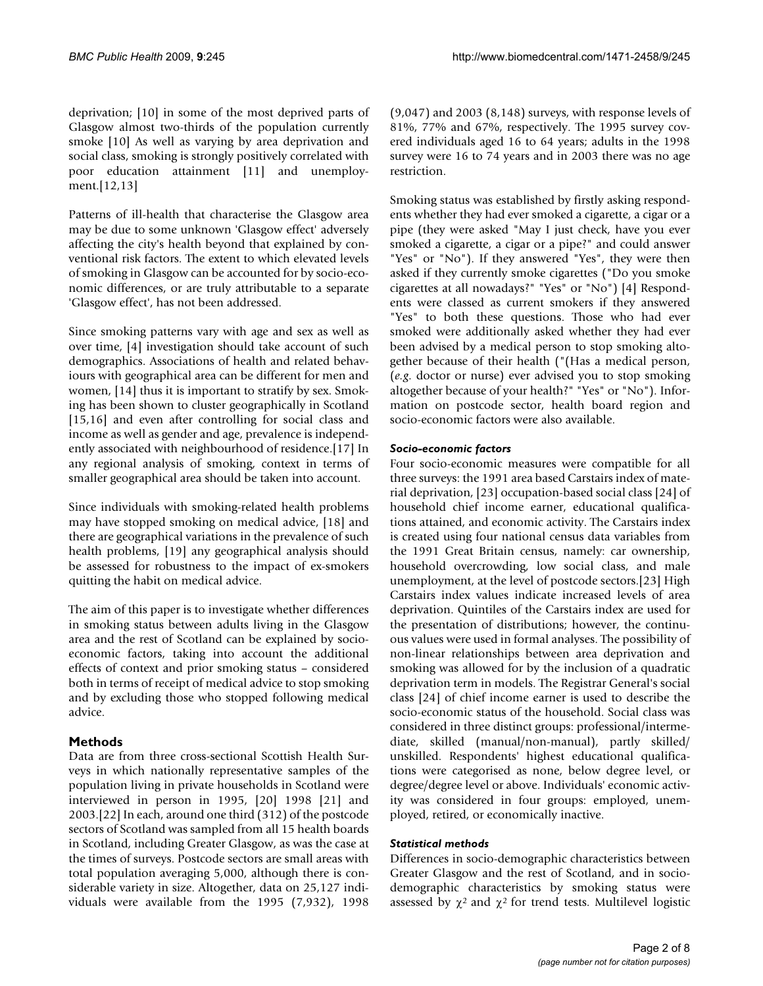deprivation; [\[10](#page-7-9)] in some of the most deprived parts of Glasgow almost two-thirds of the population currently smoke [\[10](#page-7-9)] As well as varying by area deprivation and social class, smoking is strongly positively correlated with poor education attainment [\[11](#page-7-10)] and unemployment.[\[12](#page-7-11)[,13](#page-7-12)]

Patterns of ill-health that characterise the Glasgow area may be due to some unknown 'Glasgow effect' adversely affecting the city's health beyond that explained by conventional risk factors. The extent to which elevated levels of smoking in Glasgow can be accounted for by socio-economic differences, or are truly attributable to a separate 'Glasgow effect', has not been addressed.

Since smoking patterns vary with age and sex as well as over time, [\[4\]](#page-7-3) investigation should take account of such demographics. Associations of health and related behaviours with geographical area can be different for men and women, [\[14](#page-7-13)] thus it is important to stratify by sex. Smoking has been shown to cluster geographically in Scotland [[15](#page-7-14),[16\]](#page-7-15) and even after controlling for social class and income as well as gender and age, prevalence is independently associated with neighbourhood of residence.[\[17](#page-7-16)] In any regional analysis of smoking, context in terms of smaller geographical area should be taken into account.

Since individuals with smoking-related health problems may have stopped smoking on medical advice, [[18](#page-7-17)] and there are geographical variations in the prevalence of such health problems, [\[19](#page-7-18)] any geographical analysis should be assessed for robustness to the impact of ex-smokers quitting the habit on medical advice.

The aim of this paper is to investigate whether differences in smoking status between adults living in the Glasgow area and the rest of Scotland can be explained by socioeconomic factors, taking into account the additional effects of context and prior smoking status – considered both in terms of receipt of medical advice to stop smoking and by excluding those who stopped following medical advice.

## **Methods**

Data are from three cross-sectional Scottish Health Surveys in which nationally representative samples of the population living in private households in Scotland were interviewed in person in 1995, [\[20\]](#page-7-19) 1998 [[21\]](#page-7-20) and 2003.[[22\]](#page-7-21) In each, around one third (312) of the postcode sectors of Scotland was sampled from all 15 health boards in Scotland, including Greater Glasgow, as was the case at the times of surveys. Postcode sectors are small areas with total population averaging 5,000, although there is considerable variety in size. Altogether, data on 25,127 individuals were available from the 1995 (7,932), 1998

(9,047) and 2003 (8,148) surveys, with response levels of 81%, 77% and 67%, respectively. The 1995 survey covered individuals aged 16 to 64 years; adults in the 1998 survey were 16 to 74 years and in 2003 there was no age restriction.

Smoking status was established by firstly asking respondents whether they had ever smoked a cigarette, a cigar or a pipe (they were asked "May I just check, have you ever smoked a cigarette, a cigar or a pipe?" and could answer "Yes" or "No"). If they answered "Yes", they were then asked if they currently smoke cigarettes ("Do you smoke cigarettes at all nowadays?" "Yes" or "No") [\[4\]](#page-7-3) Respondents were classed as current smokers if they answered "Yes" to both these questions. Those who had ever smoked were additionally asked whether they had ever been advised by a medical person to stop smoking altogether because of their health ("(Has a medical person, (*e.g*. doctor or nurse) ever advised you to stop smoking altogether because of your health?" "Yes" or "No"). Information on postcode sector, health board region and socio-economic factors were also available.

## *Socio-economic factors*

Four socio-economic measures were compatible for all three surveys: the 1991 area based Carstairs index of material deprivation, [[23](#page-7-22)] occupation-based social class [\[24\]](#page-7-23) of household chief income earner, educational qualifications attained, and economic activity. The Carstairs index is created using four national census data variables from the 1991 Great Britain census, namely: car ownership, household overcrowding, low social class, and male unemployment, at the level of postcode sectors.[\[23](#page-7-22)] High Carstairs index values indicate increased levels of area deprivation. Quintiles of the Carstairs index are used for the presentation of distributions; however, the continuous values were used in formal analyses. The possibility of non-linear relationships between area deprivation and smoking was allowed for by the inclusion of a quadratic deprivation term in models. The Registrar General's social class [\[24](#page-7-23)] of chief income earner is used to describe the socio-economic status of the household. Social class was considered in three distinct groups: professional/intermediate, skilled (manual/non-manual), partly skilled/ unskilled. Respondents' highest educational qualifications were categorised as none, below degree level, or degree/degree level or above. Individuals' economic activity was considered in four groups: employed, unemployed, retired, or economically inactive.

### *Statistical methods*

Differences in socio-demographic characteristics between Greater Glasgow and the rest of Scotland, and in sociodemographic characteristics by smoking status were assessed by  $\chi^2$  and  $\chi^2$  for trend tests. Multilevel logistic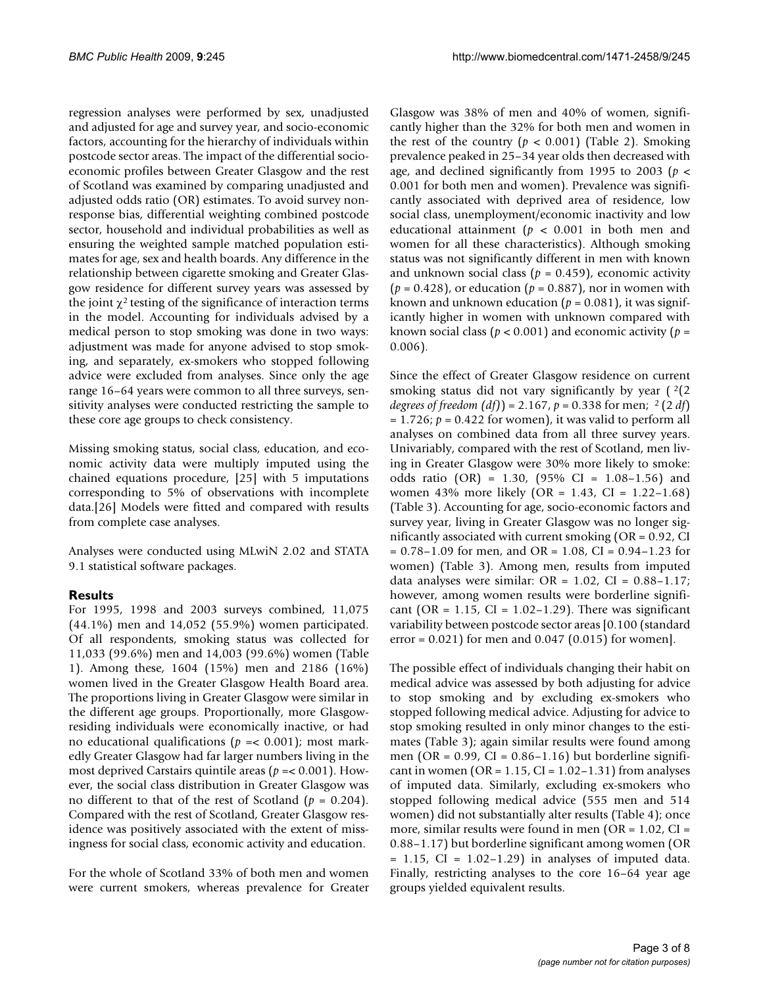regression analyses were performed by sex, unadjusted and adjusted for age and survey year, and socio-economic factors, accounting for the hierarchy of individuals within postcode sector areas. The impact of the differential socioeconomic profiles between Greater Glasgow and the rest of Scotland was examined by comparing unadjusted and adjusted odds ratio (OR) estimates. To avoid survey nonresponse bias, differential weighting combined postcode sector, household and individual probabilities as well as ensuring the weighted sample matched population estimates for age, sex and health boards. Any difference in the relationship between cigarette smoking and Greater Glasgow residence for different survey years was assessed by the joint  $\chi^2$  testing of the significance of interaction terms in the model. Accounting for individuals advised by a medical person to stop smoking was done in two ways: adjustment was made for anyone advised to stop smoking, and separately, ex-smokers who stopped following advice were excluded from analyses. Since only the age range 16–64 years were common to all three surveys, sensitivity analyses were conducted restricting the sample to these core age groups to check consistency.

Missing smoking status, social class, education, and economic activity data were multiply imputed using the chained equations procedure, [\[25\]](#page-7-24) with 5 imputations corresponding to 5% of observations with incomplete data.[\[26\]](#page-7-25) Models were fitted and compared with results from complete case analyses.

Analyses were conducted using MLwiN 2.02 and STATA 9.1 statistical software packages.

#### **Results**

For 1995, 1998 and 2003 surveys combined, 11,075 (44.1%) men and 14,052 (55.9%) women participated. Of all respondents, smoking status was collected for 11,033 (99.6%) men and 14,003 (99.6%) women (Table [1\)](#page-3-0). Among these, 1604 (15%) men and 2186 (16%) women lived in the Greater Glasgow Health Board area. The proportions living in Greater Glasgow were similar in the different age groups. Proportionally, more Glasgowresiding individuals were economically inactive, or had no educational qualifications ( $p = < 0.001$ ); most markedly Greater Glasgow had far larger numbers living in the most deprived Carstairs quintile areas (*p* =< 0.001). However, the social class distribution in Greater Glasgow was no different to that of the rest of Scotland (*p* = 0.204). Compared with the rest of Scotland, Greater Glasgow residence was positively associated with the extent of missingness for social class, economic activity and education.

For the whole of Scotland 33% of both men and women were current smokers, whereas prevalence for Greater Glasgow was 38% of men and 40% of women, significantly higher than the 32% for both men and women in the rest of the country  $(p < 0.001)$  (Table [2](#page-4-0)). Smoking prevalence peaked in 25–34 year olds then decreased with age, and declined significantly from 1995 to 2003 (*p* < 0.001 for both men and women). Prevalence was significantly associated with deprived area of residence, low social class, unemployment/economic inactivity and low educational attainment (*p* < 0.001 in both men and women for all these characteristics). Although smoking status was not significantly different in men with known and unknown social class ( $p = 0.459$ ), economic activity (*p* = 0.428), or education (*p* = 0.887), nor in women with known and unknown education ( $p = 0.081$ ), it was significantly higher in women with unknown compared with known social class (*p* < 0.001) and economic activity (*p* = 0.006).

Since the effect of Greater Glasgow residence on current smoking status did not vary significantly by year  $(2(2)$ *degrees of freedom (df)*) = 2.167, *p* = 0.338 for men; 2 (2 *df*)  $= 1.726$ ;  $p = 0.422$  for women), it was valid to perform all analyses on combined data from all three survey years. Univariably, compared with the rest of Scotland, men living in Greater Glasgow were 30% more likely to smoke: odds ratio (OR) = 1.30, (95% CI = 1.08–1.56) and women 43% more likely (OR = 1.43, CI = 1.22–1.68) (Table [3\)](#page-5-0). Accounting for age, socio-economic factors and survey year, living in Greater Glasgow was no longer significantly associated with current smoking ( $OR = 0.92$ , CI  $= 0.78 - 1.09$  for men, and OR  $= 1.08$ , CI  $= 0.94 - 1.23$  for women) (Table [3\)](#page-5-0). Among men, results from imputed data analyses were similar:  $OR = 1.02$ ,  $CI = 0.88 - 1.17$ ; however, among women results were borderline significant (OR =  $1.15$ , CI =  $1.02 - 1.29$ ). There was significant variability between postcode sector areas [0.100 (standard error =  $0.021$ ) for men and  $0.047$  (0.015) for women].

The possible effect of individuals changing their habit on medical advice was assessed by both adjusting for advice to stop smoking and by excluding ex-smokers who stopped following medical advice. Adjusting for advice to stop smoking resulted in only minor changes to the estimates (Table [3](#page-5-0)); again similar results were found among men (OR = 0.99, CI = 0.86–1.16) but borderline significant in women (OR =  $1.15$ , CI =  $1.02-1.31$ ) from analyses of imputed data. Similarly, excluding ex-smokers who stopped following medical advice (555 men and 514 women) did not substantially alter results (Table [4](#page-6-0)); once more, similar results were found in men ( $OR = 1.02$ ,  $CI =$ 0.88–1.17) but borderline significant among women (OR  $= 1.15$ , CI  $= 1.02 - 1.29$  in analyses of imputed data. Finally, restricting analyses to the core 16–64 year age groups yielded equivalent results.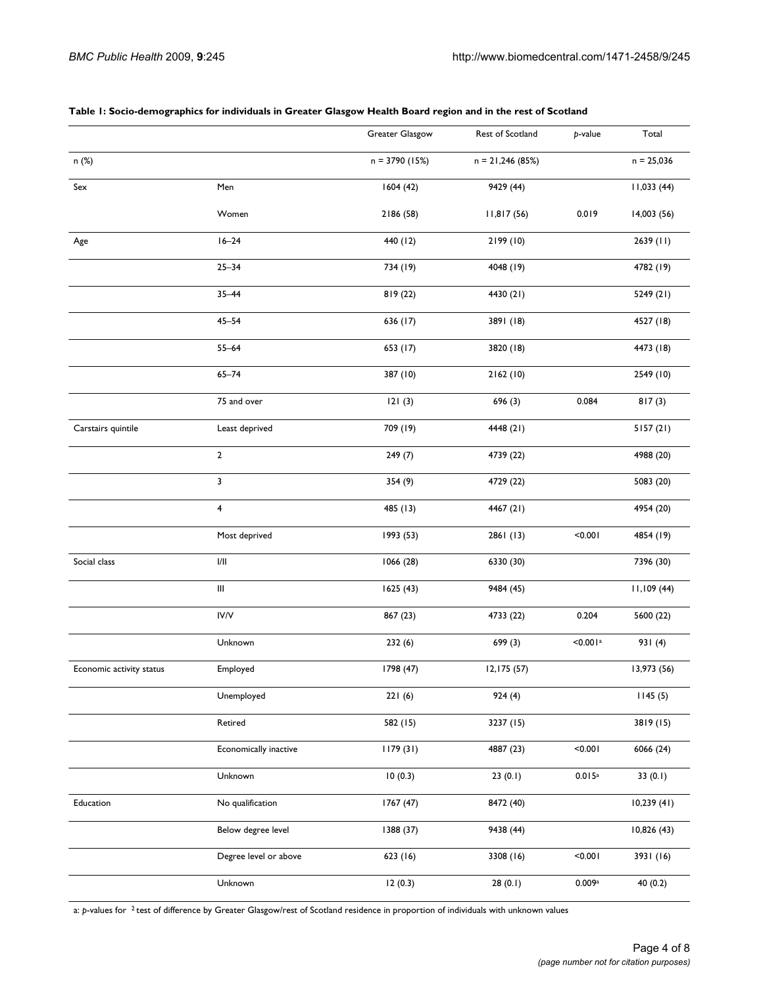|                          |                         | Greater Glasgow  | Rest of Scotland  | p-value  | Total        |
|--------------------------|-------------------------|------------------|-------------------|----------|--------------|
| n (%)                    |                         | $n = 3790$ (15%) | $n = 21,246(85%)$ |          | $n = 25,036$ |
| Sex                      | Men                     | 1604(42)         | 9429 (44)         |          | 11,033(44)   |
|                          | Women                   | 2186 (58)        | 11,817 (56)       | 0.019    | 14,003 (56)  |
| Age                      | $16 - 24$               | 440 (12)         | 2199 (10)         |          | 2639 (11)    |
|                          | $25 - 34$               | 734 (19)         | 4048 (19)         |          | 4782 (19)    |
|                          | $35 - 44$               | 819 (22)         | 4430 (21)         |          | 5249 (21)    |
|                          | $45 - 54$               | 636 (17)         | 3891 (18)         |          | 4527 (18)    |
|                          | $55 - 64$               | 653 (17)         | 3820 (18)         |          | 4473 (18)    |
|                          | $65 - 74$               | 387 (10)         | 2162(10)          |          | 2549 (10)    |
|                          | 75 and over             | 121(3)           | 696(3)            | 0.084    | 817(3)       |
| Carstairs quintile       | Least deprived          | 709 (19)         | 4448 (21)         |          | 5157(21)     |
|                          | $\overline{2}$          | 249(7)           | 4739 (22)         |          | 4988 (20)    |
|                          | 3                       | 354(9)           | 4729 (22)         |          | 5083 (20)    |
|                          | $\overline{\mathbf{4}}$ | 485 (13)         | 4467 (21)         |          | 4954 (20)    |
|                          | Most deprived           | 1993 (53)        | 2861 (13)         | < 0.001  | 4854 (19)    |
| Social class             | $\ /\ $                 | 1066 (28)        | 6330 (30)         |          | 7396 (30)    |
|                          | Ш                       | 1625(43)         | 9484 (45)         |          | 11,109(44)   |
|                          | IV/V                    | 867 (23)         | 4733 (22)         | 0.204    | 5600 (22)    |
|                          | Unknown                 | 232(6)           | 699(3)            | < 0.001a | 931(4)       |
| Economic activity status | Employed                | 1798 (47)        | 12,175 (57)       |          | 13,973 (56)  |
|                          | Unemployed              | 221(6)           | 924(4)            |          | 1145(5)      |
|                          | Retired                 | 582 (15)         | 3237 (15)         |          | 3819 (15)    |
|                          | Economically inactive   | 1179(31)         | 4887 (23)         | < 0.001  | 6066 (24)    |
|                          | Unknown                 | 10(0.3)          | 23(0.1)           | 0.015a   | 33 $(0.1)$   |
| Education                | No qualification        | 1767 (47)        | 8472 (40)         |          | 10,239(41)   |
|                          | Below degree level      | 1388 (37)        | 9438 (44)         |          | 10,826(43)   |
|                          | Degree level or above   | 623 (16)         | 3308 (16)         | < 0.001  | 3931 (16)    |
|                          | Unknown                 | 12(0.3)          | 28(0.1)           | 0.009a   | 40 (0.2)     |

#### <span id="page-3-0"></span>**Table 1: Socio-demographics for individuals in Greater Glasgow Health Board region and in the rest of Scotland**

a: *p*-values for 2 test of difference by Greater Glasgow/rest of Scotland residence in proportion of individuals with unknown values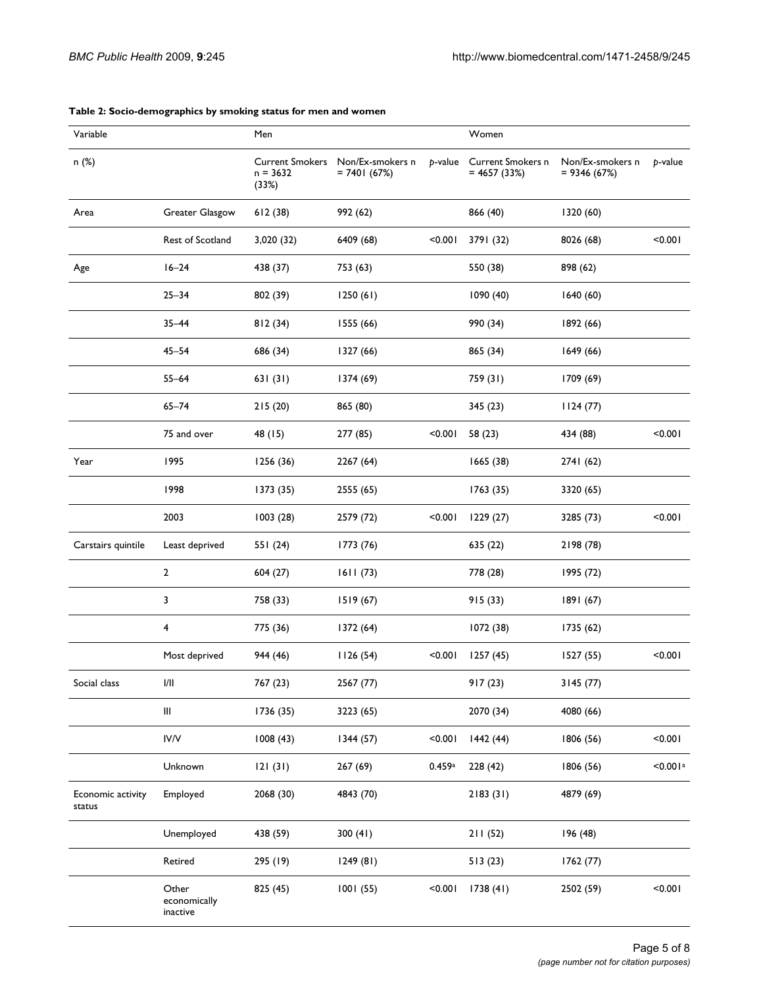| Variable                    |                                                                  | Men                                           |                                   |            | Women                              |                                   |          |
|-----------------------------|------------------------------------------------------------------|-----------------------------------------------|-----------------------------------|------------|------------------------------------|-----------------------------------|----------|
| n (%)                       |                                                                  | <b>Current Smokers</b><br>$n = 3632$<br>(33%) | Non/Ex-smokers n<br>$= 7401(67%)$ | $p$ -value | Current Smokers n<br>$= 4657(33%)$ | Non/Ex-smokers n<br>$= 9346(67%)$ | p-value  |
| Area                        | Greater Glasgow                                                  | 612(38)                                       | 992 (62)                          |            | 866 (40)                           | 1320 (60)                         |          |
|                             | Rest of Scotland                                                 | 3,020 (32)                                    | 6409 (68)                         | < 0.001    | 3791 (32)                          | 8026 (68)                         | < 0.001  |
| Age                         | $16 - 24$                                                        | 438 (37)                                      | 753 (63)                          |            | 550 (38)                           | 898 (62)                          |          |
|                             | $25 - 34$                                                        | 802 (39)                                      | 1250(61)                          |            | 1090 (40)                          | 1640(60)                          |          |
|                             | $35 - 44$                                                        | 812 (34)                                      | 1555 (66)                         |            | 990 (34)                           | 1892 (66)                         |          |
|                             | $45 - 54$                                                        | 686 (34)                                      | 1327 (66)                         |            | 865 (34)                           | 1649(66)                          |          |
|                             | $55 - 64$                                                        | 631(31)                                       | 1374 (69)                         |            | 759 (31)                           | 1709 (69)                         |          |
|                             | $65 - 74$                                                        | 215(20)                                       | 865 (80)                          |            | 345 (23)                           | 1124(77)                          |          |
|                             | 75 and over                                                      | 48 (15)                                       | 277 (85)                          | < 0.001    | 58 (23)                            | 434 (88)                          | < 0.001  |
| Year                        | 1995                                                             | 1256 (36)                                     | 2267(64)                          |            | 1665 (38)                          | 2741 (62)                         |          |
|                             | 1998                                                             | 1373 (35)                                     | 2555 (65)                         |            | 1763 (35)                          | 3320 (65)                         |          |
|                             | 2003                                                             | 1003(28)                                      | 2579 (72)                         | < 0.001    | 1229 (27)                          | 3285 (73)                         | < 0.001  |
| Carstairs quintile          | Least deprived                                                   | 551 (24)                                      | 1773 (76)                         |            | 635 (22)                           | 2198 (78)                         |          |
|                             | $\overline{2}$                                                   | 604 (27)                                      | 1611(73)                          |            | 778 (28)                           | 1995 (72)                         |          |
|                             | 3                                                                | 758 (33)                                      | 1519 (67)                         |            | 915 (33)                           | 1891(67)                          |          |
|                             | 4                                                                | 775 (36)                                      | 1372 (64)                         |            | 1072 (38)                          | 1735 (62)                         |          |
|                             | Most deprived                                                    | 944 (46)                                      | 1126(54)                          | < 0.001    | 1257(45)                           | 1527 (55)                         | < 0.001  |
| Social class                | $\ensuremath{\mathsf{I}}\xspace/\ensuremath{\mathsf{II}}\xspace$ | 767 (23)                                      | 2567 (77)                         |            | 917(23)                            | 3145(77)                          |          |
|                             | Ш                                                                | 1736 (35)                                     | 3223 (65)                         |            | 2070 (34)                          | 4080 (66)                         |          |
|                             | $\ensuremath{\mathsf{IV/V}}$                                     | 1008(43)                                      | 1344(57)                          | < 0.001    | 1442(44)                           | 1806 (56)                         | 100.00   |
|                             | Unknown                                                          | 121(31)                                       | 267 (69)                          | 0.459a     | 228 (42)                           | 1806 (56)                         | < 0.001a |
| Economic activity<br>status | Employed                                                         | 2068 (30)                                     | 4843 (70)                         |            | 2183(31)                           | 4879 (69)                         |          |
|                             | Unemployed                                                       | 438 (59)                                      | 300(41)                           |            | 211(52)                            | 196(48)                           |          |
|                             | Retired                                                          | 295 (19)                                      | 1249(81)                          |            | 513(23)                            | 1762 (77)                         |          |
|                             | Other<br>economically<br>inactive                                | 825 (45)                                      | 1001(55)                          | < 0.001    | 1738(41)                           | 2502 (59)                         | < 0.001  |

#### <span id="page-4-0"></span>**Table 2: Socio-demographics by smoking status for men and women**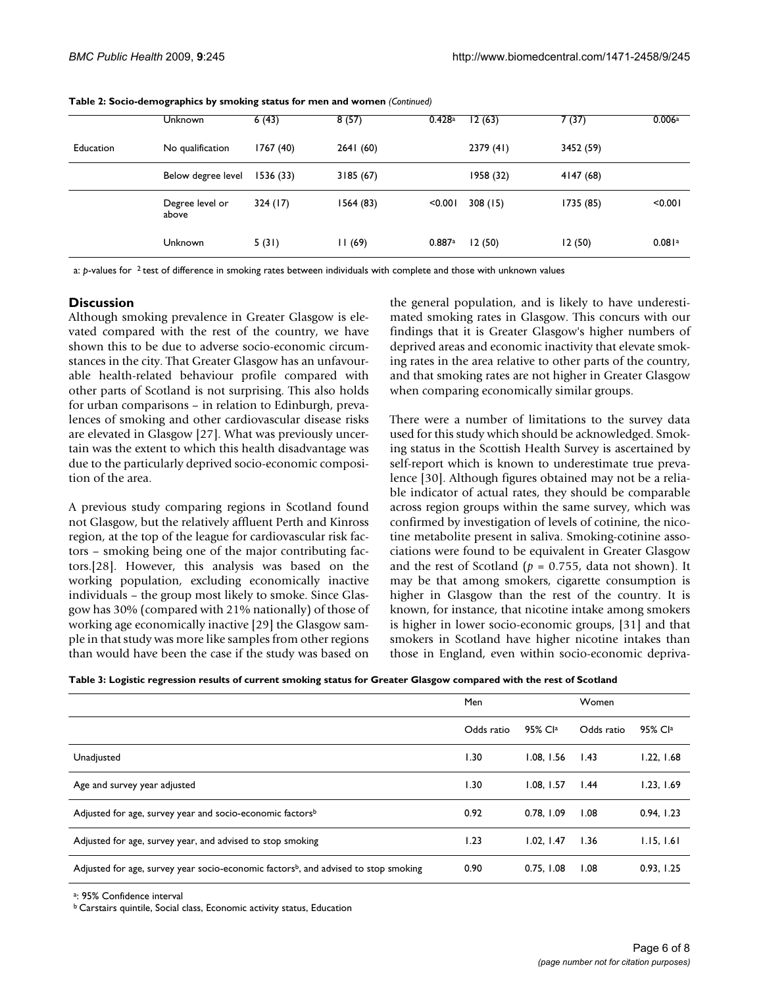|           | Unknown                  | 6(43)     | 8(57)     | 0.428a  | 12(63)    | 7 (37)    | 0.006a  |
|-----------|--------------------------|-----------|-----------|---------|-----------|-----------|---------|
| Education | No qualification         | 1767 (40) | 2641 (60) |         | 2379(41)  | 3452 (59) |         |
|           | Below degree level       | 1536(33)  | 3185 (67) |         | 1958 (32) | 4147 (68) |         |
|           | Degree level or<br>above | 324(17)   | 1564 (83) | < 0.001 | 308(15)   | 1735 (85) | < 0.001 |
|           | Unknown                  | 5(31)     | 11(69)    | 0.887a  | 12(50)    | 12(50)    | 0.081a  |

**Table 2: Socio-demographics by smoking status for men and women** *(Continued)*

a: *p*-values for 2 test of difference in smoking rates between individuals with complete and those with unknown values

## **Discussion**

Although smoking prevalence in Greater Glasgow is elevated compared with the rest of the country, we have shown this to be due to adverse socio-economic circumstances in the city. That Greater Glasgow has an unfavourable health-related behaviour profile compared with other parts of Scotland is not surprising. This also holds for urban comparisons – in relation to Edinburgh, prevalences of smoking and other cardiovascular disease risks are elevated in Glasgow [[27](#page-7-26)]. What was previously uncertain was the extent to which this health disadvantage was due to the particularly deprived socio-economic composition of the area.

A previous study comparing regions in Scotland found not Glasgow, but the relatively affluent Perth and Kinross region, at the top of the league for cardiovascular risk factors – smoking being one of the major contributing factors.[[28\]](#page-7-27). However, this analysis was based on the working population, excluding economically inactive individuals – the group most likely to smoke. Since Glasgow has 30% (compared with 21% nationally) of those of working age economically inactive [\[29](#page-7-28)] the Glasgow sample in that study was more like samples from other regions than would have been the case if the study was based on the general population, and is likely to have underestimated smoking rates in Glasgow. This concurs with our findings that it is Greater Glasgow's higher numbers of deprived areas and economic inactivity that elevate smoking rates in the area relative to other parts of the country, and that smoking rates are not higher in Greater Glasgow when comparing economically similar groups.

There were a number of limitations to the survey data used for this study which should be acknowledged. Smoking status in the Scottish Health Survey is ascertained by self-report which is known to underestimate true prevalence [\[30\]](#page-7-29). Although figures obtained may not be a reliable indicator of actual rates, they should be comparable across region groups within the same survey, which was confirmed by investigation of levels of cotinine, the nicotine metabolite present in saliva. Smoking-cotinine associations were found to be equivalent in Greater Glasgow and the rest of Scotland ( $p = 0.755$ , data not shown). It may be that among smokers, cigarette consumption is higher in Glasgow than the rest of the country. It is known, for instance, that nicotine intake among smokers is higher in lower socio-economic groups, [\[31](#page-7-30)] and that smokers in Scotland have higher nicotine intakes than those in England, even within socio-economic depriva-

<span id="page-5-0"></span>

| Table 3: Logistic regression results of current smoking status for Greater Glasgow compared with the rest of Scotland |  |  |  |
|-----------------------------------------------------------------------------------------------------------------------|--|--|--|
|-----------------------------------------------------------------------------------------------------------------------|--|--|--|

|                                                                                                 | Men        |            | Women      |            |
|-------------------------------------------------------------------------------------------------|------------|------------|------------|------------|
|                                                                                                 | Odds ratio | 95% Cla    | Odds ratio | 95% Cla    |
| Unadjusted                                                                                      | 1.30       | 1.08. 1.56 | 1.43       | 1.22, 1.68 |
| Age and survey year adjusted                                                                    | 1.30       | 1.08. 1.57 | 1.44       | 1.23, 1.69 |
| Adjusted for age, survey year and socio-economic factors <sup>b</sup>                           | 0.92       | 0.78.1.09  | 1.08       | 0.94. 1.23 |
| Adjusted for age, survey year, and advised to stop smoking                                      | 1.23       | 1.02. 1.47 | 1.36       | 1.15, 1.61 |
| Adjusted for age, survey year socio-economic factors <sup>b</sup> , and advised to stop smoking | 0.90       | 0.75, 1.08 | 1.08       | 0.93, 1.25 |

a: 95% Confidence interval

b Carstairs quintile, Social class, Economic activity status, Education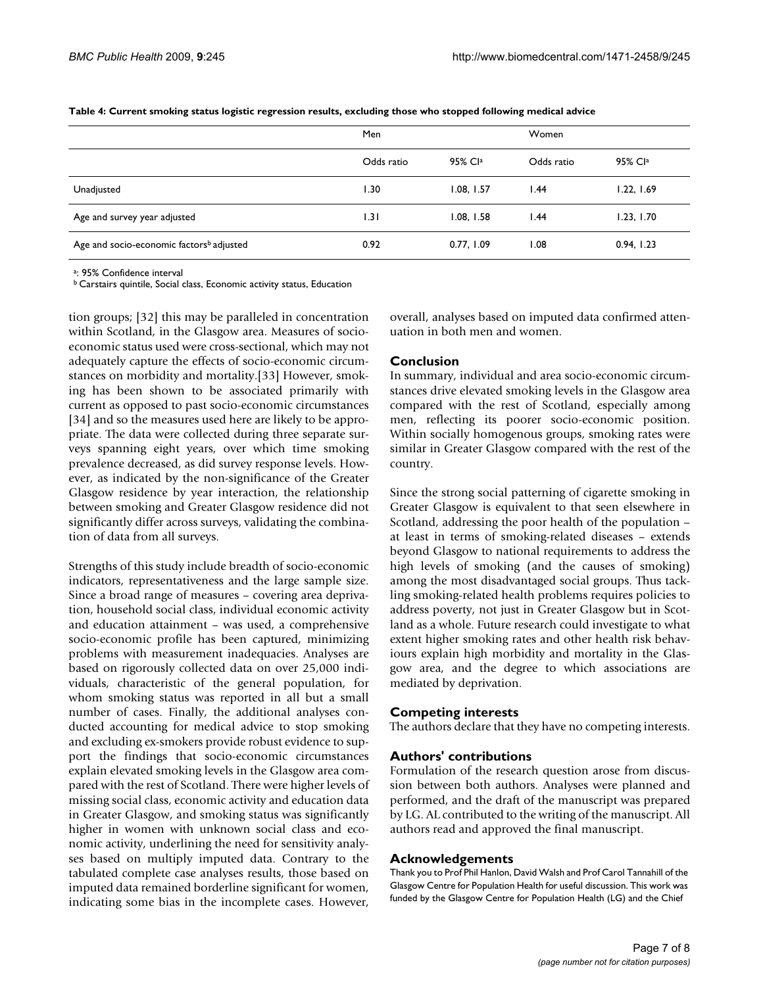|                                                      | Men        |            | Women      |            |
|------------------------------------------------------|------------|------------|------------|------------|
|                                                      | Odds ratio | 95% Cla    | Odds ratio | 95% Cla    |
| Unadjusted                                           | 1.30       | 1.08, 1.57 | l.44       | 1.22, 1.69 |
| Age and survey year adjusted                         | 1.31       | 1.08, 1.58 | 1.44       | 1.23, 1.70 |
| Age and socio-economic factors <sup>b</sup> adjusted | 0.92       | 0.77, 1.09 | 0.1        | 0.94, 1.23 |

<span id="page-6-0"></span>**Table 4: Current smoking status logistic regression results, excluding those who stopped following medical advice**

a: 95% Confidence interval

b Carstairs quintile, Social class, Economic activity status, Education

tion groups; [[32](#page-7-31)] this may be paralleled in concentration within Scotland, in the Glasgow area. Measures of socioeconomic status used were cross-sectional, which may not adequately capture the effects of socio-economic circumstances on morbidity and mortality.[\[33\]](#page-7-32) However, smoking has been shown to be associated primarily with current as opposed to past socio-economic circumstances [[34](#page-7-33)] and so the measures used here are likely to be appropriate. The data were collected during three separate surveys spanning eight years, over which time smoking prevalence decreased, as did survey response levels. However, as indicated by the non-significance of the Greater Glasgow residence by year interaction, the relationship between smoking and Greater Glasgow residence did not significantly differ across surveys, validating the combination of data from all surveys.

Strengths of this study include breadth of socio-economic indicators, representativeness and the large sample size. Since a broad range of measures – covering area deprivation, household social class, individual economic activity and education attainment – was used, a comprehensive socio-economic profile has been captured, minimizing problems with measurement inadequacies. Analyses are based on rigorously collected data on over 25,000 individuals, characteristic of the general population, for whom smoking status was reported in all but a small number of cases. Finally, the additional analyses conducted accounting for medical advice to stop smoking and excluding ex-smokers provide robust evidence to support the findings that socio-economic circumstances explain elevated smoking levels in the Glasgow area compared with the rest of Scotland. There were higher levels of missing social class, economic activity and education data in Greater Glasgow, and smoking status was significantly higher in women with unknown social class and economic activity, underlining the need for sensitivity analyses based on multiply imputed data. Contrary to the tabulated complete case analyses results, those based on imputed data remained borderline significant for women, indicating some bias in the incomplete cases. However,

overall, analyses based on imputed data confirmed attenuation in both men and women.

#### **Conclusion**

In summary, individual and area socio-economic circumstances drive elevated smoking levels in the Glasgow area compared with the rest of Scotland, especially among men, reflecting its poorer socio-economic position. Within socially homogenous groups, smoking rates were similar in Greater Glasgow compared with the rest of the country.

Since the strong social patterning of cigarette smoking in Greater Glasgow is equivalent to that seen elsewhere in Scotland, addressing the poor health of the population – at least in terms of smoking-related diseases – extends beyond Glasgow to national requirements to address the high levels of smoking (and the causes of smoking) among the most disadvantaged social groups. Thus tackling smoking-related health problems requires policies to address poverty, not just in Greater Glasgow but in Scotland as a whole. Future research could investigate to what extent higher smoking rates and other health risk behaviours explain high morbidity and mortality in the Glasgow area, and the degree to which associations are mediated by deprivation.

#### **Competing interests**

The authors declare that they have no competing interests.

#### **Authors' contributions**

Formulation of the research question arose from discussion between both authors. Analyses were planned and performed, and the draft of the manuscript was prepared by LG. AL contributed to the writing of the manuscript. All authors read and approved the final manuscript.

#### **Acknowledgements**

Thank you to Prof Phil Hanlon, David Walsh and Prof Carol Tannahill of the Glasgow Centre for Population Health for useful discussion. This work was funded by the Glasgow Centre for Population Health (LG) and the Chief